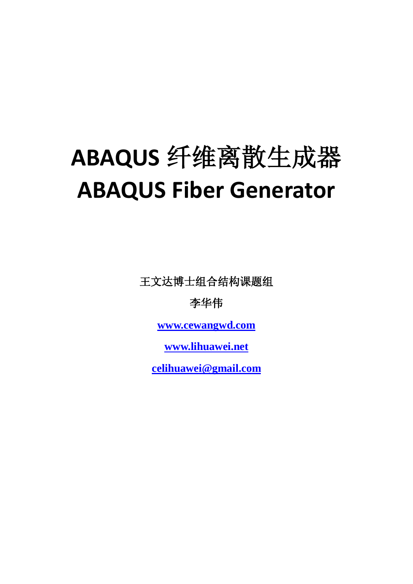王文达博士组合结构课题组

李华伟

**[www.cewangwd.com](http://www.cewangwd.com/)**

**[www.lihuawei.net](http://www.lihuawei.net/)**

**[celihuawei@gmail.com](mailto:celihuawei@gmail.com)**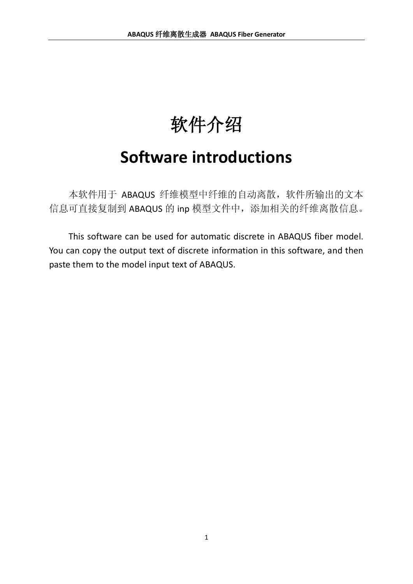# 软件介绍

# **Software introductions**

本软件用于 ABAQUS 纤维模型中纤维的自动离散,软件所输出的文本 信息可直接复制到 ABAQUS 的 inp 模型文件中,添加相关的纤维离散信息。

This software can be used for automatic discrete in ABAQUS fiber model. You can copy the output text of discrete information in this software, and then paste them to the model input text of ABAQUS.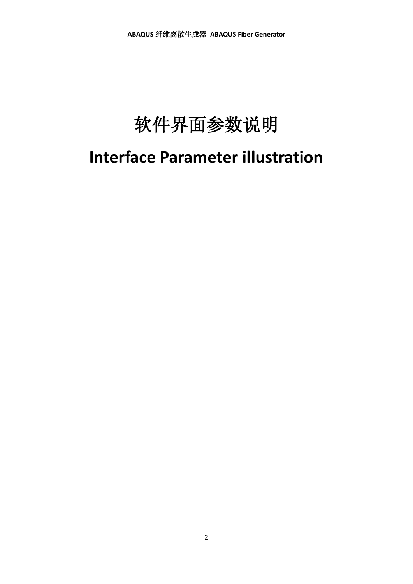# 软件界面参数说明 **Interface Parameter illustration**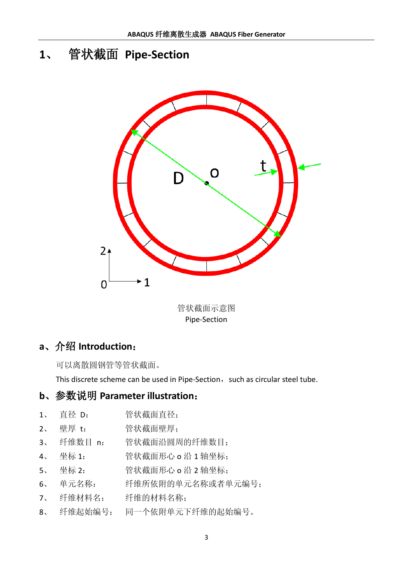# **1**、 管状截面 **Pipe-Section**



管状截面示意图 Pipe-Section

# **a**、介绍 **Introduction**:

可以离散圆钢管等管状截面。

This discrete scheme can be used in Pipe-Section, such as circular steel tube.

- 1、 直径 D: 管状截面直径;
- 2、 壁厚 t: 管状截面壁厚;
- 3、 纤维数目 n: 管状截面沿圆周的纤维数目;
- 4、 坐标 1: 管状截面形心 o 沿 1 轴坐标;
- 5、 坐标 2: 管状截面形心 o 沿 2 轴坐标;
- 6、 单元名称: 纤维所依附的单元名称或者单元编号;
- 7、 纤维材料名: 纤维的材料名称;
- 8、 纤维起始编号: 同一个依附单元下纤维的起始编号。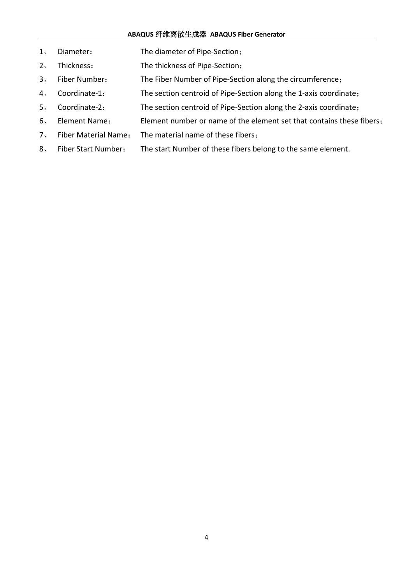- 、 Diameter: The diameter of Pipe-Section;
- 、 Thickness: The thickness of Pipe-Section;
- 、 Fiber Number: The Fiber Number of Pipe-Section along the circumference;
- 、 Coordinate-1: The section centroid of Pipe-Section along the 1-axis coordinate;
- 、 Coordinate-2: The section centroid of Pipe-Section along the 2-axis coordinate;
- 、 Element Name: Element number or name of the element set that contains these fibers;
- 、 Fiber Material Name: The material name of these fibers;
- 、 Fiber Start Number: The start Number of these fibers belong to the same element.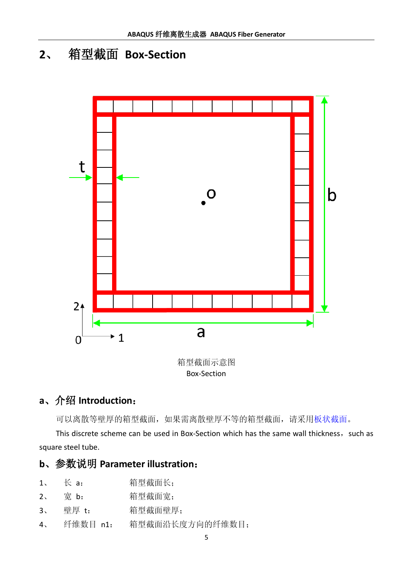# **2**、 箱型截面 **Box-Section**



箱型截面示意图 Box-Section

# **a**、介绍 **Introduction**:

可以离散等壁厚的箱型截面,如果需离散壁厚不等的箱型截面,请采[用板状截面。](#page-9-0)

This discrete scheme can be used in Box-Section which has the same wall thickness, such as square steel tube.

|  | 1, | $\mathcal{L}$ a: | 箱型截面长; |
|--|----|------------------|--------|
|--|----|------------------|--------|

- 2、 宽 b: 箱型截面宽;
- 3、 壁厚 t: 箱型截面壁厚;
- 4、 纤维数目 n1: 箱型截面沿长度方向的纤维数目;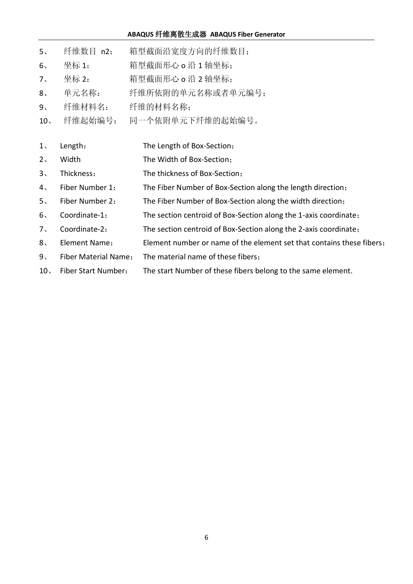| 5 <sub>1</sub>  | 纤维数目 n2:             | 箱型截面沿宽度方向的纤维数目;                                                       |
|-----------------|----------------------|-----------------------------------------------------------------------|
| $6\backslash$   | 坐标 1:                | 箱型截面形心 o 沿 1 轴坐标:                                                     |
| 7 <sub>1</sub>  | 坐标 2:                | 箱型截面形心 o 沿 2 轴坐标:                                                     |
| 8 <sub>1</sub>  | 单元名称:                | 纤维所依附的单元名称或者单元编号;                                                     |
| 9 <sub>1</sub>  | 纤维材料名:               | 纤维的材料名称;                                                              |
| 10 <sub>1</sub> | 纤维起始编号:              | 同一个依附单元下纤维的起始编号。                                                      |
|                 |                      |                                                                       |
| 1 <sub>1</sub>  | Length:              | The Length of Box-Section;                                            |
| 2 <sub>1</sub>  | Width                | The Width of Box-Section;                                             |
| $3\sqrt{2}$     | Thickness:           | The thickness of Box-Section;                                         |
| 4 <sub>1</sub>  | Fiber Number 1:      | The Fiber Number of Box-Section along the length direction;           |
| 5 <sub>1</sub>  | Fiber Number 2:      | The Fiber Number of Box-Section along the width direction;            |
| 6 <sub>1</sub>  | Coordinate-1:        | The section centroid of Box-Section along the 1-axis coordinate;      |
| 7 <sub>1</sub>  | Coordinate-2:        | The section centroid of Box-Section along the 2-axis coordinate;      |
| 8 <sub>1</sub>  | Element Name:        | Element number or name of the element set that contains these fibers; |
| 9 <sub>1</sub>  | Fiber Material Name: | The material name of these fibers;                                    |
|                 |                      |                                                                       |

、 Fiber Start Number: The start Number of these fibers belong to the same element.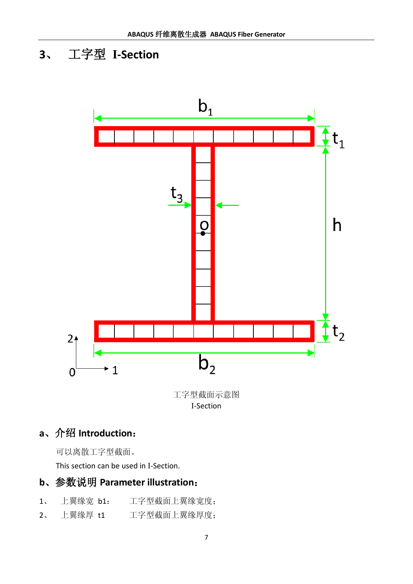# **3**、 工字型 **I-Section**



# **a**、介绍 **Introduction**:

可以离散工字型截面。

This section can be used in I-Section.

- 1、 上翼缘宽 b1: 工字型截面上翼缘宽度;
- 2、 上翼缘厚 t1 工字型截面上翼缘厚度;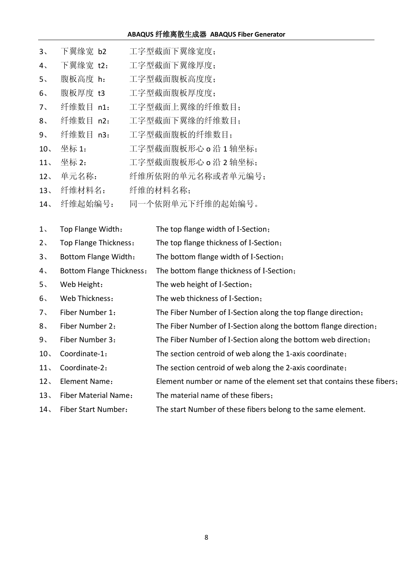| $3\sqrt{2}$     | 下翼缘宽 b2                         | 工字型截面下翼缘宽度;                               |
|-----------------|---------------------------------|-------------------------------------------|
| $4\sqrt{ }$     | 下翼缘宽 t2:                        | 工字型截面下翼缘厚度;                               |
| 5 <sub>1</sub>  | 腹板高度 h:                         | 工字型截面腹板高度度;                               |
| $6\sqrt{ }$     | 腹板厚度 t3                         | 工字型截面腹板厚度度;                               |
| $7\sqrt{ }$     | 纤维数目 n1:                        | 工字型截面上翼缘的纤维数目;                            |
| 8 <sub>1</sub>  | 纤维数目 n2:                        | 工字型截面下翼缘的纤维数目;                            |
| 9 <sub>1</sub>  | 纤维数目 n3:                        | 工字型截面腹板的纤维数目;                             |
| 10 <sub>1</sub> | 坐标 1:                           | 工字型截面腹板形心 o 沿 1 轴坐标;                      |
| 11 <sub>1</sub> | 坐标 2:                           | 工字型截面腹板形心 o 沿 2 轴坐标:                      |
| 12 <sub>1</sub> | 单元名称:                           | 纤维所依附的单元名称或者单元编号;                         |
| 13 <sub>1</sub> | 纤维材料名:                          | 纤维的材料名称;                                  |
| 14.             | 纤维起始编号:                         | 同一个依附单元下纤维的起始编号。                          |
|                 |                                 |                                           |
| 1,              | Top Flange Width:               | The top flange width of I-Section;        |
| 2 <sub>1</sub>  | Top Flange Thickness:           | The top flange thickness of I-Section;    |
| $3\sqrt{2}$     | <b>Bottom Flange Width:</b>     | The bottom flange width of I-Section;     |
| $4\sqrt{ }$     | <b>Bottom Flange Thickness:</b> | The bottom flange thickness of I-Section; |
| $5\cdot$        | Web Height:                     | The web height of I-Section;              |

、 Web Thickness: The web thickness of I-Section;

、 Fiber Number 1: The Fiber Number of I-Section along the top flange direction;

、 Fiber Number 2: The Fiber Number of I-Section along the bottom flange direction;

、 Fiber Number 3: The Fiber Number of I-Section along the bottom web direction;

、 Coordinate-1: The section centroid of web along the 1-axis coordinate;

、 Coordinate-2: The section centroid of web along the 2-axis coordinate;

、 Element Name: Element number or name of the element set that contains these fibers;

、 Fiber Material Name: The material name of these fibers;

、 Fiber Start Number: The start Number of these fibers belong to the same element.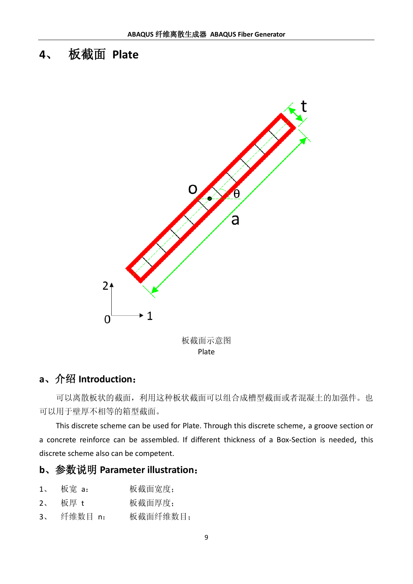# <span id="page-9-0"></span>**4**、 板截面 **Plate**



## **a**、介绍 **Introduction**:

可以离散板状的截面,利用这种板状截面可以组合成槽型截面或者混凝土的加强件。也 可以用于壁厚不相等的箱型截面。

This discrete scheme can be used for Plate. Through this discrete scheme, a groove section or a concrete reinforce can be assembled. If different thickness of a Box-Section is needed, this discrete scheme also can be competent.

| 板宽 a:<br>1, | 板截面宽度; |
|-------------|--------|
|-------------|--------|

- 2、 板厚 t 板截面厚度;
- 3、 纤维数目 n: 板截面纤维数目;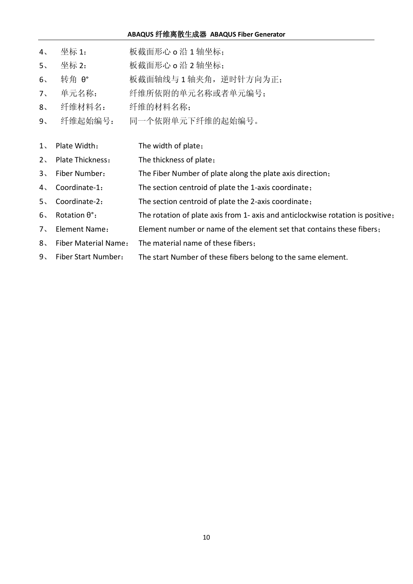- 4、 坐标 1: 板截面形心 o 沿 1 轴坐标;
- 5、 坐标 2: 板截面形心 o 沿 2 轴坐标;
- 、 转角 θ° 板截面轴线与 1 轴夹角,逆时针方向为正;
- 、 单元名称: 纤维所依附的单元名称或者单元编号;
- 、 纤维材料名: 纤维的材料名称;
- 、 纤维起始编号: 同一个依附单元下纤维的起始编号。
- 、 Plate Width: The width of plate;
- 、 Plate Thickness: The thickness of plate;
- 、 Fiber Number: The Fiber Number of plate along the plate axis direction;
- 、 Coordinate-1: The section centroid of plate the 1-axis coordinate;
- 、 Coordinate-2: The section centroid of plate the 2-axis coordinate;
- 、 Rotation θ°: The rotation of plate axis from 1- axis and anticlockwise rotation is positive;
- 、 Element Name: Element number or name of the element set that contains these fibers;
- 、 Fiber Material Name: The material name of these fibers;
- 、 Fiber Start Number: The start Number of these fibers belong to the same element.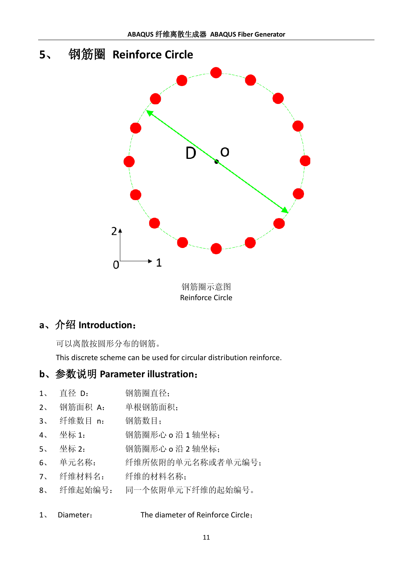# **5**、 钢筋圈 **Reinforce Circle** O  $2<sub>+</sub>$  $\cdot$  1 0

钢筋圈示意图 Reinforce Circle

# **a**、介绍 **Introduction**:

可以离散按圆形分布的钢筋。

This discrete scheme can be used for circular distribution reinforce.

- 1、 直径 D: 钢筋圈直径;
- 2、 钢筋面积 A: 单根钢筋面积;
- 3、 纤维数目 n: 钢筋数目;
- 4、 坐标 1: 钢筋圈形心 o 沿 1 轴坐标;
- 5、 坐标 2: 钢筋圈形心 o 沿 2 轴坐标;
- 6、 单元名称: 纤维所依附的单元名称或者单元编号;
- 7、 纤维材料名: 纤维的材料名称;
- 8、 纤维起始编号: 同一个依附单元下纤维的起始编号。
- 1、 Diameter: The diameter of Reinforce Circle;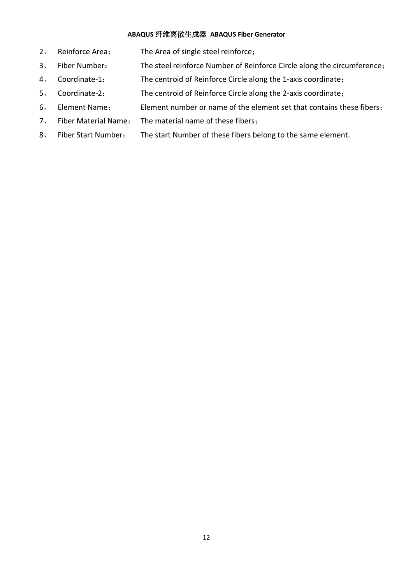- 、 Reinforce Area: The Area of single steel reinforce;
- 、 Fiber Number: The steel reinforce Number of Reinforce Circle along the circumference;
- 、 Coordinate-1: The centroid of Reinforce Circle along the 1-axis coordinate;
- 、 Coordinate-2: The centroid of Reinforce Circle along the 2-axis coordinate;
- 、 Element Name: Element number or name of the element set that contains these fibers;
- 、 Fiber Material Name: The material name of these fibers;
- 、 Fiber Start Number: The start Number of these fibers belong to the same element.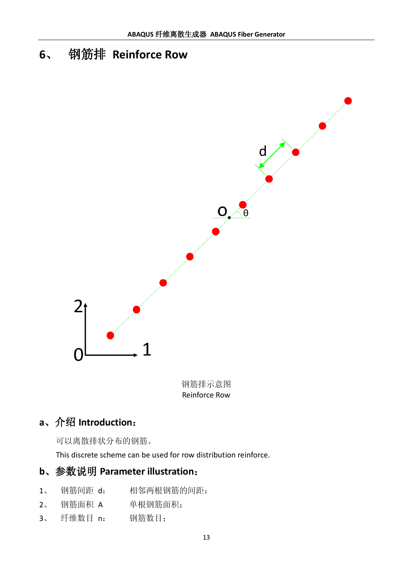# **6**、 钢筋排 **Reinforce Row**



钢筋排示意图 Reinforce Row

# **a**、介绍 **Introduction**:

可以离散排状分布的钢筋。

This discrete scheme can be used for row distribution reinforce.

- 1、 钢筋间距 d: 相邻两根钢筋的间距;
- 2、 钢筋面积 A 单根钢筋面积;
- 3、 纤维数目 n: 钢筋数目;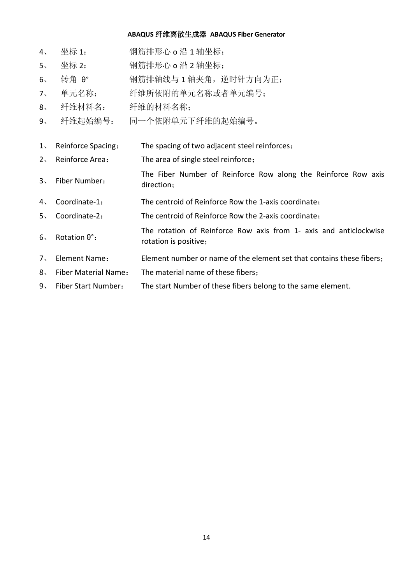- 4、 坐标 1: 钢筋排形心 o 沿 1 轴坐标;
- 5、 坐标 2: 钢筋排形心 o 沿 2 轴坐标;
- 、 转角 θ° 钢筋排轴线与 1 轴夹角,逆时针方向为正;
- 、 单元名称: 纤维所依附的单元名称或者单元编号;
- 、 纤维材料名: 纤维的材料名称;
- 、 纤维起始编号: 同一个依附单元下纤维的起始编号。
- 、 Reinforce Spacing: The spacing of two adjacent steel reinforces;
- 、 Reinforce Area: The area of single steel reinforce;
- 、 Fiber Number: The Fiber Number of Reinforce Row along the Reinforce Row axis direction;
- 、 Coordinate-1: The centroid of Reinforce Row the 1-axis coordinate;
- 、 Coordinate-2: The centroid of Reinforce Row the 2-axis coordinate;
- 、 Rotation θ°: The rotation of Reinforce Row axis from 1- axis and anticlockwise rotation is positive;
- 、 Element Name: Element number or name of the element set that contains these fibers;
- 、 Fiber Material Name: The material name of these fibers;
- 、 Fiber Start Number: The start Number of these fibers belong to the same element.